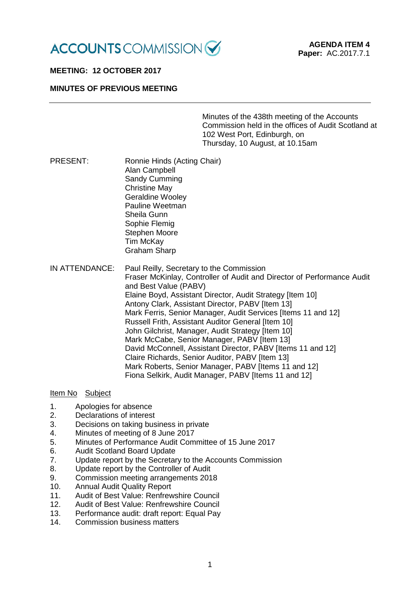

# **MEETING: 12 OCTOBER 2017**

#### **MINUTES OF PREVIOUS MEETING**

Minutes of the 438th meeting of the Accounts Commission held in the offices of Audit Scotland at 102 West Port, Edinburgh, on Thursday, 10 August, at 10.15am

- PRESENT: Ronnie Hinds (Acting Chair) Alan Campbell Sandy Cumming Christine May Geraldine Wooley Pauline Weetman Sheila Gunn Sophie Flemig Stephen Moore Tim McKay Graham Sharp
- IN ATTENDANCE: Paul Reilly, Secretary to the Commission Fraser McKinlay, Controller of Audit and Director of Performance Audit and Best Value (PABV) Elaine Boyd, Assistant Director, Audit Strategy [Item 10] Antony Clark, Assistant Director, PABV [Item 13] Mark Ferris, Senior Manager, Audit Services [Items 11 and 12] Russell Frith, Assistant Auditor General [Item 10] John Gilchrist, Manager, Audit Strategy [Item 10] Mark McCabe, Senior Manager, PABV [Item 13] David McConnell, Assistant Director, PABV [Items 11 and 12] Claire Richards, Senior Auditor, PABV [Item 13] Mark Roberts, Senior Manager, PABV [Items 11 and 12] Fiona Selkirk, Audit Manager, PABV [Items 11 and 12]

#### Item No Subject

- 1. Apologies for absence<br>2. Declarations of interes
- Declarations of interest
- 3. Decisions on taking business in private
- 4. Minutes of meeting of 8 June 2017
- 5. Minutes of Performance Audit Committee of 15 June 2017
- 6. Audit Scotland Board Update
- 7. Update report by the Secretary to the Accounts Commission
- 8. Update report by the Controller of Audit
- 9. Commission meeting arrangements 2018
- 10. Annual Audit Quality Report
- 11. Audit of Best Value: Renfrewshire Council
- 12. Audit of Best Value: Renfrewshire Council
- 13. Performance audit: draft report: Equal Pay
- 14. Commission business matters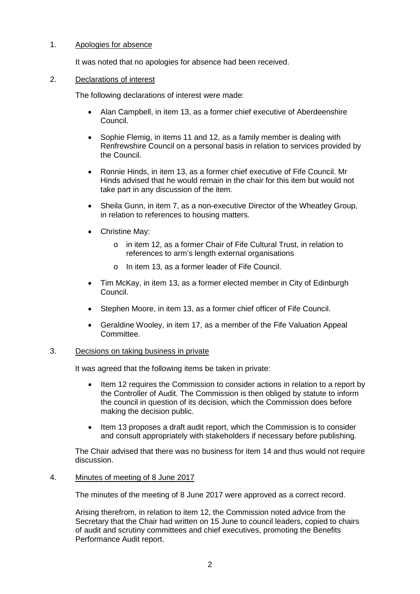# 1. Apologies for absence

It was noted that no apologies for absence had been received.

## 2. Declarations of interest

The following declarations of interest were made:

- Alan Campbell, in item 13, as a former chief executive of Aberdeenshire Council.
- Sophie Flemig, in items 11 and 12, as a family member is dealing with Renfrewshire Council on a personal basis in relation to services provided by the Council.
- Ronnie Hinds, in item 13, as a former chief executive of Fife Council. Mr Hinds advised that he would remain in the chair for this item but would not take part in any discussion of the item.
- Sheila Gunn, in item 7, as a non-executive Director of the Wheatley Group, in relation to references to housing matters.
- Christine May:
	- o in item 12, as a former Chair of Fife Cultural Trust, in relation to references to arm's length external organisations
	- o In item 13, as a former leader of Fife Council.
- Tim McKay, in item 13, as a former elected member in City of Edinburgh Council.
- Stephen Moore, in item 13, as a former chief officer of Fife Council.
- Geraldine Wooley, in item 17, as a member of the Fife Valuation Appeal Committee.

#### 3. Decisions on taking business in private

It was agreed that the following items be taken in private:

- Item 12 requires the Commission to consider actions in relation to a report by the Controller of Audit. The Commission is then obliged by statute to inform the council in question of its decision, which the Commission does before making the decision public.
- Item 13 proposes a draft audit report, which the Commission is to consider and consult appropriately with stakeholders if necessary before publishing.

The Chair advised that there was no business for item 14 and thus would not require discussion.

# 4. Minutes of meeting of 8 June 2017

The minutes of the meeting of 8 June 2017 were approved as a correct record.

Arising therefrom, in relation to item 12, the Commission noted advice from the Secretary that the Chair had written on 15 June to council leaders, copied to chairs of audit and scrutiny committees and chief executives, promoting the Benefits Performance Audit report.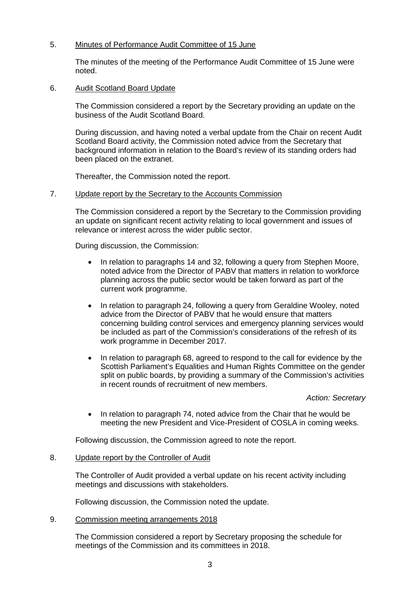# 5. Minutes of Performance Audit Committee of 15 June

The minutes of the meeting of the Performance Audit Committee of 15 June were noted.

## 6. Audit Scotland Board Update

The Commission considered a report by the Secretary providing an update on the business of the Audit Scotland Board.

During discussion, and having noted a verbal update from the Chair on recent Audit Scotland Board activity, the Commission noted advice from the Secretary that background information in relation to the Board's review of its standing orders had been placed on the extranet.

Thereafter, the Commission noted the report.

# 7. Update report by the Secretary to the Accounts Commission

The Commission considered a report by the Secretary to the Commission providing an update on significant recent activity relating to local government and issues of relevance or interest across the wider public sector.

During discussion, the Commission:

- In relation to paragraphs 14 and 32, following a query from Stephen Moore, noted advice from the Director of PABV that matters in relation to workforce planning across the public sector would be taken forward as part of the current work programme.
- In relation to paragraph 24, following a query from Geraldine Wooley, noted advice from the Director of PABV that he would ensure that matters concerning building control services and emergency planning services would be included as part of the Commission's considerations of the refresh of its work programme in December 2017.
- In relation to paragraph 68, agreed to respond to the call for evidence by the Scottish Parliament's Equalities and Human Rights Committee on the gender split on public boards, by providing a summary of the Commission's activities in recent rounds of recruitment of new members.

*Action: Secretary*

• In relation to paragraph 74, noted advice from the Chair that he would be meeting the new President and Vice-President of COSLA in coming weeks.

Following discussion, the Commission agreed to note the report.

#### 8. Update report by the Controller of Audit

The Controller of Audit provided a verbal update on his recent activity including meetings and discussions with stakeholders.

Following discussion, the Commission noted the update.

9. Commission meeting arrangements 2018

The Commission considered a report by Secretary proposing the schedule for meetings of the Commission and its committees in 2018.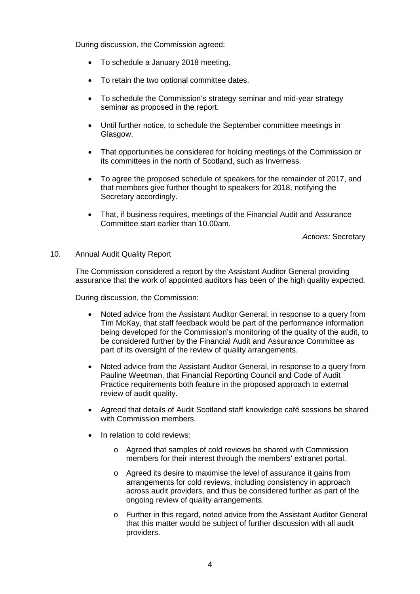During discussion, the Commission agreed:

- To schedule a January 2018 meeting.
- To retain the two optional committee dates.
- To schedule the Commission's strategy seminar and mid-year strategy seminar as proposed in the report.
- Until further notice, to schedule the September committee meetings in Glasgow.
- That opportunities be considered for holding meetings of the Commission or its committees in the north of Scotland, such as Inverness.
- To agree the proposed schedule of speakers for the remainder of 2017, and that members give further thought to speakers for 2018, notifying the Secretary accordingly.
- That, if business requires, meetings of the Financial Audit and Assurance Committee start earlier than 10.00am.

*Actions:* Secretary

## 10. Annual Audit Quality Report

The Commission considered a report by the Assistant Auditor General providing assurance that the work of appointed auditors has been of the high quality expected.

During discussion, the Commission:

- Noted advice from the Assistant Auditor General, in response to a query from Tim McKay, that staff feedback would be part of the performance information being developed for the Commission's monitoring of the quality of the audit, to be considered further by the Financial Audit and Assurance Committee as part of its oversight of the review of quality arrangements.
- Noted advice from the Assistant Auditor General, in response to a query from Pauline Weetman, that Financial Reporting Council and Code of Audit Practice requirements both feature in the proposed approach to external review of audit quality.
- Agreed that details of Audit Scotland staff knowledge café sessions be shared with Commission members.
- In relation to cold reviews:
	- o Agreed that samples of cold reviews be shared with Commission members for their interest through the members' extranet portal.
	- o Agreed its desire to maximise the level of assurance it gains from arrangements for cold reviews, including consistency in approach across audit providers, and thus be considered further as part of the ongoing review of quality arrangements.
	- o Further in this regard, noted advice from the Assistant Auditor General that this matter would be subject of further discussion with all audit providers.